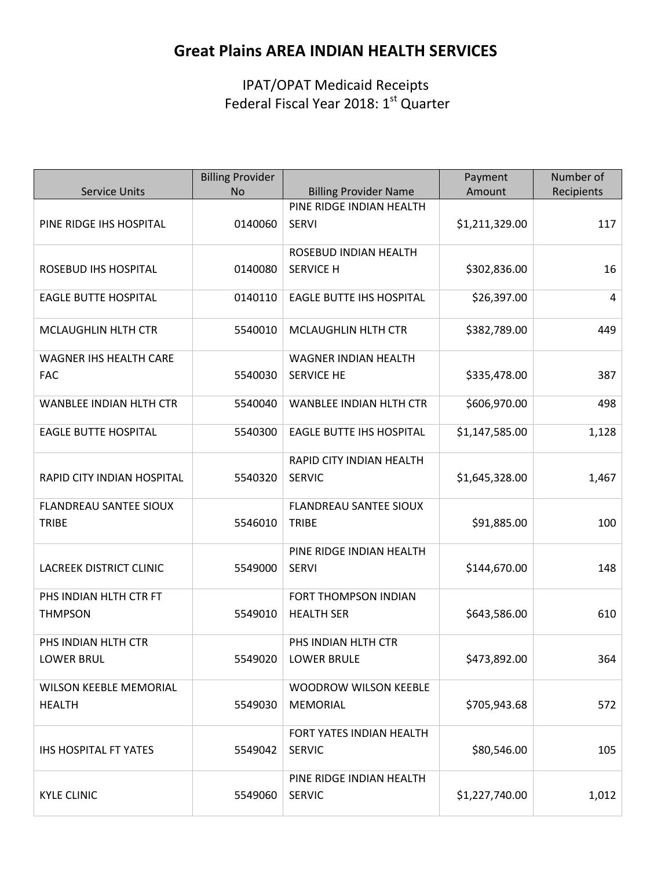# **Great Plains AREA INDIAN HEALTH SERVICES**

IPAT/OPAT Medicaid Receipts Federal Fiscal Year 2018: 1<sup>st</sup> Quarter

|                                                | <b>Billing Provider</b> |                                                  | Payment        | Number of  |
|------------------------------------------------|-------------------------|--------------------------------------------------|----------------|------------|
| <b>Service Units</b>                           | <b>No</b>               | <b>Billing Provider Name</b>                     | Amount         | Recipients |
| PINE RIDGE IHS HOSPITAL                        | 0140060                 | PINE RIDGE INDIAN HEALTH<br><b>SERVI</b>         | \$1,211,329.00 | 117        |
| ROSEBUD IHS HOSPITAL                           | 0140080                 | ROSEBUD INDIAN HEALTH<br><b>SERVICE H</b>        | \$302,836.00   | 16         |
| <b>EAGLE BUTTE HOSPITAL</b>                    | 0140110                 | <b>EAGLE BUTTE IHS HOSPITAL</b>                  | \$26,397.00    | 4          |
| MCLAUGHLIN HLTH CTR                            | 5540010                 | MCLAUGHLIN HLTH CTR                              | \$382,789.00   | 449        |
| WAGNER IHS HEALTH CARE<br><b>FAC</b>           | 5540030                 | <b>WAGNER INDIAN HEALTH</b><br><b>SERVICE HE</b> | \$335,478.00   | 387        |
| <b>WANBLEE INDIAN HLTH CTR</b>                 | 5540040                 | <b>WANBLEE INDIAN HLTH CTR</b>                   | \$606,970.00   | 498        |
| <b>EAGLE BUTTE HOSPITAL</b>                    | 5540300                 | <b>EAGLE BUTTE IHS HOSPITAL</b>                  | \$1,147,585.00 | 1,128      |
| RAPID CITY INDIAN HOSPITAL                     | 5540320                 | RAPID CITY INDIAN HEALTH<br><b>SERVIC</b>        | \$1,645,328.00 | 1,467      |
| <b>FLANDREAU SANTEE SIOUX</b><br><b>TRIBE</b>  | 5546010                 | <b>FLANDREAU SANTEE SIOUX</b><br><b>TRIBE</b>    | \$91,885.00    | 100        |
| <b>LACREEK DISTRICT CLINIC</b>                 | 5549000                 | PINE RIDGE INDIAN HEALTH<br><b>SERVI</b>         | \$144,670.00   | 148        |
| PHS INDIAN HLTH CTR FT<br><b>THMPSON</b>       | 5549010                 | FORT THOMPSON INDIAN<br><b>HEALTH SER</b>        | \$643,586.00   | 610        |
| PHS INDIAN HLTH CTR<br><b>LOWER BRUL</b>       | 5549020                 | PHS INDIAN HLTH CTR<br>LOWER BRULE               | \$473,892.00   | 364        |
| <b>WILSON KEEBLE MEMORIAL</b><br><b>HEALTH</b> | 5549030                 | <b>WOODROW WILSON KEEBLE</b><br><b>MEMORIAL</b>  | \$705,943.68   | 572        |
| <b>IHS HOSPITAL FT YATES</b>                   | 5549042                 | FORT YATES INDIAN HEALTH<br><b>SERVIC</b>        | \$80,546.00    | 105        |
| <b>KYLE CLINIC</b>                             | 5549060                 | PINE RIDGE INDIAN HEALTH<br><b>SERVIC</b>        | \$1,227,740.00 | 1,012      |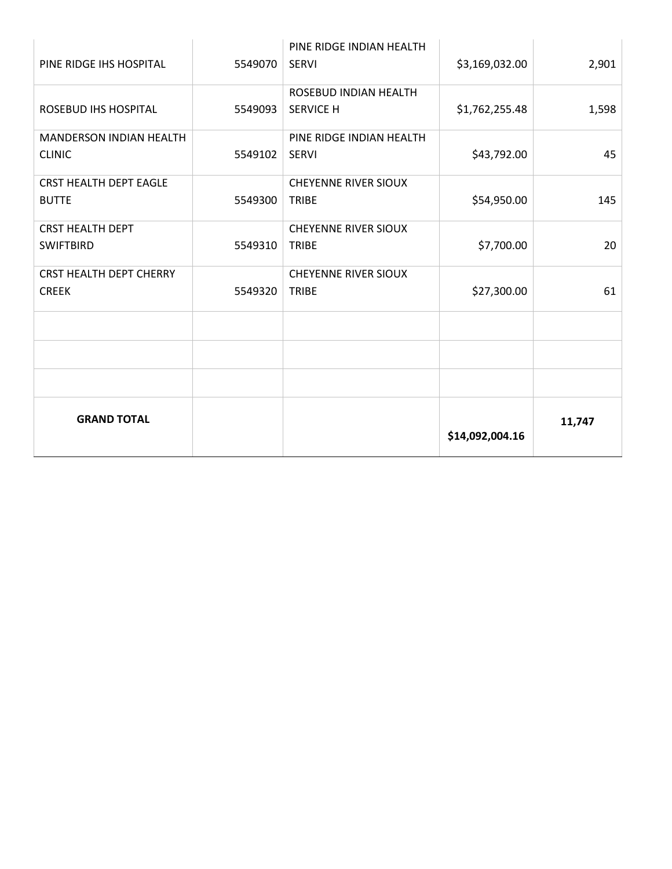| PINE RIDGE IHS HOSPITAL        | 5549070 | PINE RIDGE INDIAN HEALTH<br><b>SERVI</b>  | \$3,169,032.00  | 2,901  |
|--------------------------------|---------|-------------------------------------------|-----------------|--------|
| <b>ROSEBUD IHS HOSPITAL</b>    | 5549093 | ROSEBUD INDIAN HEALTH<br><b>SERVICE H</b> | \$1,762,255.48  | 1,598  |
|                                |         |                                           |                 |        |
| MANDERSON INDIAN HEALTH        |         | PINE RIDGE INDIAN HEALTH                  |                 |        |
| <b>CLINIC</b>                  | 5549102 | <b>SERVI</b>                              | \$43,792.00     | 45     |
| <b>CRST HEALTH DEPT EAGLE</b>  |         | <b>CHEYENNE RIVER SIOUX</b>               |                 |        |
| <b>BUTTE</b>                   | 5549300 | <b>TRIBE</b>                              | \$54,950.00     | 145    |
| <b>CRST HEALTH DEPT</b>        |         | <b>CHEYENNE RIVER SIOUX</b>               |                 |        |
| <b>SWIFTBIRD</b>               | 5549310 | TRIBE                                     | \$7,700.00      | 20     |
| <b>CRST HEALTH DEPT CHERRY</b> |         | <b>CHEYENNE RIVER SIOUX</b>               |                 |        |
| <b>CREEK</b>                   | 5549320 | <b>TRIBE</b>                              | \$27,300.00     | 61     |
|                                |         |                                           |                 |        |
|                                |         |                                           |                 |        |
|                                |         |                                           |                 |        |
| <b>GRAND TOTAL</b>             |         |                                           | \$14,092,004.16 | 11,747 |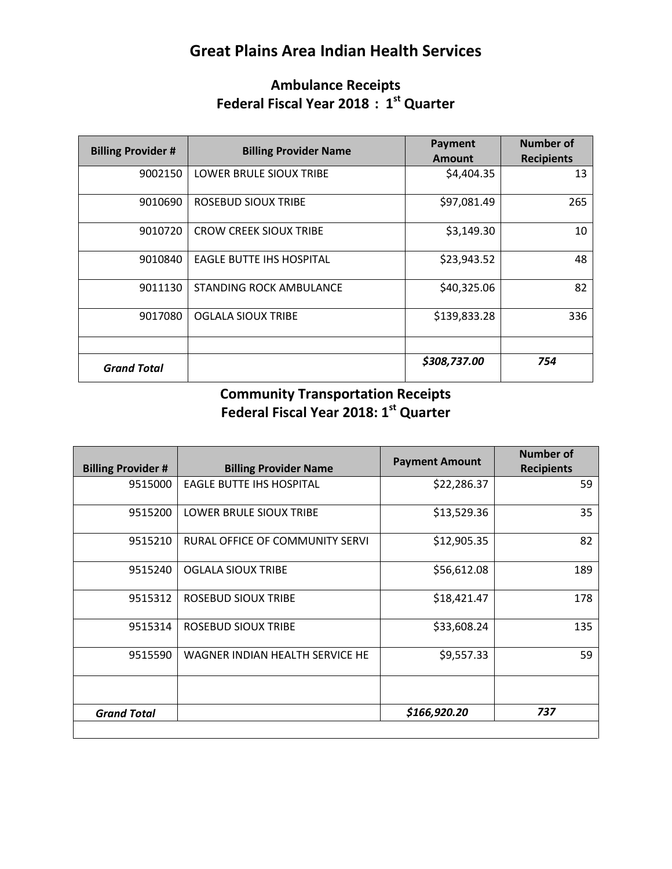# **Great Plains Area Indian Health Services**

### **Ambulance Receipts Federal Fiscal Year 2018 : 1st Quarter**

| <b>Billing Provider #</b> | <b>Billing Provider Name</b>    | Payment<br><b>Amount</b> | <b>Number of</b><br><b>Recipients</b> |
|---------------------------|---------------------------------|--------------------------|---------------------------------------|
| 9002150                   | LOWER BRULE SIOUX TRIBE         | \$4,404.35               | 13                                    |
| 9010690                   | ROSEBUD SIOUX TRIBE             | \$97,081.49              | 265                                   |
| 9010720                   | <b>CROW CREEK SIOUX TRIBE</b>   | \$3,149.30               | 10                                    |
| 9010840                   | <b>EAGLE BUTTE IHS HOSPITAL</b> | \$23,943.52              | 48                                    |
| 9011130                   | <b>STANDING ROCK AMBULANCE</b>  | \$40,325.06              | 82                                    |
| 9017080                   | <b>OGLALA SIOUX TRIBE</b>       | \$139,833.28             | 336                                   |
|                           |                                 |                          |                                       |
| <b>Grand Total</b>        |                                 | \$308,737.00             | 754                                   |

## **Community Transportation Receipts Federal Fiscal Year 2018: 1st Quarter**

| <b>Billing Provider Name</b>               | <b>Payment Amount</b> | <b>Number of</b><br><b>Recipients</b> |
|--------------------------------------------|-----------------------|---------------------------------------|
| <b>EAGLE BUTTE IHS HOSPITAL</b><br>9515000 | \$22,286.37           | 59                                    |
| LOWER BRULE SIOUX TRIBE                    | \$13,529.36           | 35                                    |
| RURAL OFFICE OF COMMUNITY SERVI            | \$12,905.35           | 82                                    |
| <b>OGLALA SIOUX TRIBE</b>                  | \$56,612.08           | 189                                   |
| ROSEBUD SIOUX TRIBE                        | \$18,421.47           | 178                                   |
| ROSEBUD SIOUX TRIBE                        | \$33,608.24           | 135                                   |
| WAGNER INDIAN HEALTH SERVICE HE            | \$9,557.33            | 59                                    |
|                                            | \$166,920.20          | 737                                   |
|                                            |                       |                                       |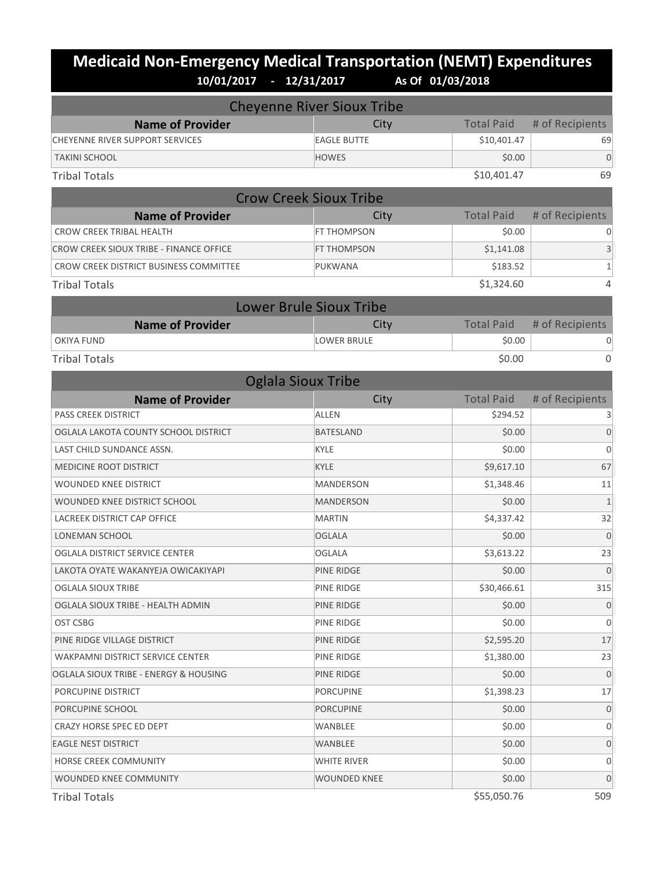# **Medicaid Non-Emergency Medical Transportation (NEMT) Expenditures 10/01/2017 - 12/31/2017 As Of 01/03/2018**

| <b>Cheyenne River Sioux Tribe</b>       |                                |                   |                  |  |
|-----------------------------------------|--------------------------------|-------------------|------------------|--|
| <b>Name of Provider</b>                 | City                           | <b>Total Paid</b> | # of Recipients  |  |
| <b>CHEYENNE RIVER SUPPORT SERVICES</b>  | <b>EAGLE BUTTE</b>             | \$10,401.47       | 69               |  |
| <b>TAKINI SCHOOL</b>                    | <b>HOWES</b>                   | \$0.00            | $\overline{0}$   |  |
| <b>Tribal Totals</b>                    |                                | \$10,401.47       | 69               |  |
| <b>Crow Creek Sioux Tribe</b>           |                                |                   |                  |  |
| <b>Name of Provider</b>                 | City                           | <b>Total Paid</b> | # of Recipients  |  |
| <b>CROW CREEK TRIBAL HEALTH</b>         | FT THOMPSON                    | \$0.00            | 0                |  |
| CROW CREEK SIOUX TRIBE - FINANCE OFFICE | FT THOMPSON                    | \$1,141.08        | 3                |  |
| CROW CREEK DISTRICT BUSINESS COMMITTEE  | PUKWANA                        | \$183.52          | $\mathbf 1$      |  |
| <b>Tribal Totals</b>                    |                                | \$1,324.60        | 4                |  |
|                                         | <b>Lower Brule Sioux Tribe</b> |                   |                  |  |
| <b>Name of Provider</b>                 | City                           | <b>Total Paid</b> | # of Recipients  |  |
| <b>OKIYA FUND</b>                       | <b>LOWER BRULE</b>             | \$0.00            | 0                |  |
| <b>Tribal Totals</b>                    |                                | \$0.00            | 0                |  |
| <b>Oglala Sioux Tribe</b>               |                                |                   |                  |  |
| <b>Name of Provider</b>                 | City                           | <b>Total Paid</b> | # of Recipients  |  |
| <b>PASS CREEK DISTRICT</b>              | <b>ALLEN</b>                   | \$294.52          | 3                |  |
| OGLALA LAKOTA COUNTY SCHOOL DISTRICT    | <b>BATESLAND</b>               | \$0.00            | $\overline{0}$   |  |
| LAST CHILD SUNDANCE ASSN.               | <b>KYLE</b>                    | \$0.00            | $\boldsymbol{0}$ |  |
| <b>MEDICINE ROOT DISTRICT</b>           | <b>KYLE</b>                    | \$9,617.10        | 67               |  |
| WOUNDED KNEE DISTRICT                   | <b>MANDERSON</b>               | \$1,348.46        | 11               |  |
| WOUNDED KNEE DISTRICT SCHOOL            | <b>MANDERSON</b>               | \$0.00            | $\mathbf{1}$     |  |
| LACREEK DISTRICT CAP OFFICE             | <b>MARTIN</b>                  | \$4,337.42        | 32               |  |
| LONEMAN SCHOOL                          | <b>OGLALA</b>                  | \$0.00            | $\overline{0}$   |  |
| OGLALA DISTRICT SERVICE CENTER          | <b>OGLALA</b>                  | \$3,613.22        | 23               |  |
| LAKOTA OYATE WAKANYEJA OWICAKIYAPI      | PINE RIDGE                     | \$0.00            | $\overline{0}$   |  |
| OGLALA SIOUX TRIBE                      | PINE RIDGE                     | \$30,466.61       | 315              |  |
| OGLALA SIOUX TRIBE - HEALTH ADMIN       | PINE RIDGE                     | \$0.00            | $\boldsymbol{0}$ |  |
| OST CSBG                                | PINE RIDGE                     | \$0.00            | $\mathbf{0}$     |  |
| PINE RIDGE VILLAGE DISTRICT             | PINE RIDGE                     | \$2,595.20        | 17               |  |
| WAKPAMNI DISTRICT SERVICE CENTER        | PINE RIDGE                     | \$1,380.00        | 23               |  |
| OGLALA SIOUX TRIBE - ENERGY & HOUSING   | PINE RIDGE                     | \$0.00            | $\mathbf{0}$     |  |
| PORCUPINE DISTRICT                      | <b>PORCUPINE</b>               | \$1,398.23        | 17               |  |
| PORCUPINE SCHOOL                        | <b>PORCUPINE</b>               | \$0.00            | $\mathbf 0$      |  |
| CRAZY HORSE SPEC ED DEPT                | WANBLEE                        | \$0.00            | $\mathbf 0$      |  |
| <b>EAGLE NEST DISTRICT</b>              | WANBLEE                        | \$0.00            | $\mathbf 0$      |  |
| HORSE CREEK COMMUNITY                   | WHITE RIVER                    | \$0.00            | $\mathbf 0$      |  |
| WOUNDED KNEE COMMUNITY                  | WOUNDED KNEE                   | \$0.00            | 0                |  |

Tribal Totals \$55,050.76 509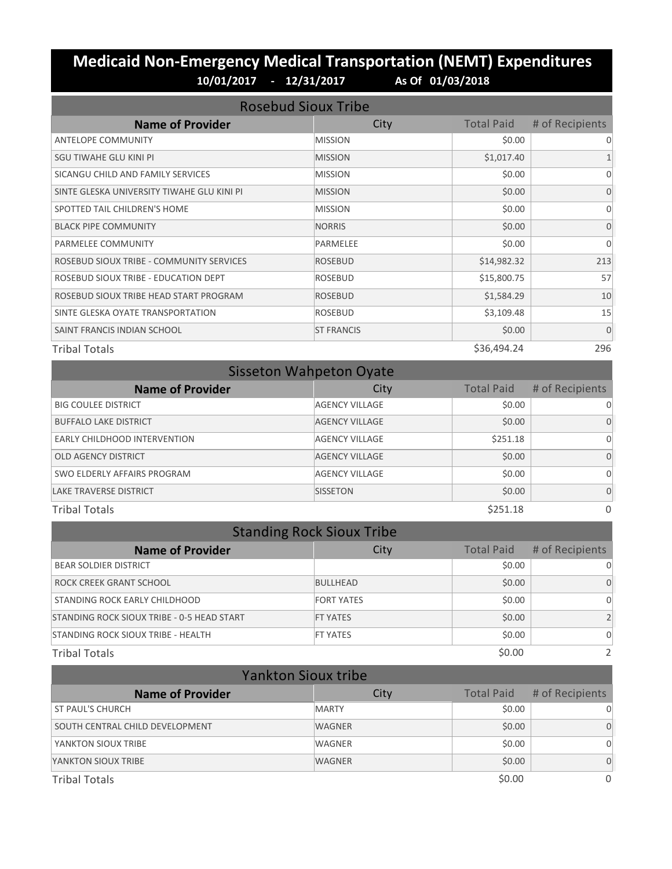### **Medicaid Non-Emergency Medical Transportation (NEMT) Expenditures 10/01/2017 - 12/31/2017 As Of 01/03/2018**

| <b>Rosebud Sioux Tribe</b>                 |                   |                   |                 |
|--------------------------------------------|-------------------|-------------------|-----------------|
| <b>Name of Provider</b>                    | City              | <b>Total Paid</b> | # of Recipients |
| <b>ANTELOPE COMMUNITY</b>                  | <b>MISSION</b>    | \$0.00            | 0               |
| SGU TIWAHE GLU KINI PI                     | <b>MISSION</b>    | \$1,017.40        |                 |
| SICANGU CHILD AND FAMILY SERVICES          | <b>MISSION</b>    | \$0.00            | $\Omega$        |
| SINTE GLESKA UNIVERSITY TIWAHE GLU KINI PI | <b>MISSION</b>    | \$0.00            | $\Omega$        |
| SPOTTED TAIL CHILDREN'S HOME               | <b>MISSION</b>    | \$0.00            | $\Omega$        |
| <b>BLACK PIPE COMMUNITY</b>                | <b>NORRIS</b>     | \$0.00            | $\Omega$        |
| PARMELEE COMMUNITY                         | <b>PARMELEE</b>   | \$0.00            | $\Omega$        |
| ROSEBUD SIOUX TRIBE - COMMUNITY SERVICES   | <b>ROSEBUD</b>    | \$14,982.32       | 213             |
| ROSEBUD SIOUX TRIBE - EDUCATION DEPT       | <b>ROSEBUD</b>    | \$15,800.75       | 57              |
| ROSEBUD SIOUX TRIBE HEAD START PROGRAM     | <b>ROSEBUD</b>    | \$1,584.29        | 10              |
| SINTE GLESKA OYATE TRANSPORTATION          | <b>ROSEBUD</b>    | \$3,109.48        | 15              |
| SAINT FRANCIS INDIAN SCHOOL                | <b>ST FRANCIS</b> | \$0.00            | $\mathbf{0}$    |
| <b>Tribal Totals</b>                       |                   | \$36,494.24       | 296             |

| <b>Sisseton Wahpeton Oyate</b> |                       |                   |                 |  |
|--------------------------------|-----------------------|-------------------|-----------------|--|
| <b>Name of Provider</b>        | City                  | <b>Total Paid</b> | # of Recipients |  |
| <b>BIG COULEE DISTRICT</b>     | <b>AGENCY VILLAGE</b> | \$0.00            | 0               |  |
| <b>BUFFALO LAKE DISTRICT</b>   | <b>AGENCY VILLAGE</b> | \$0.00            | 0               |  |
| EARLY CHILDHOOD INTERVENTION   | <b>AGENCY VILLAGE</b> | \$251.18          | 0               |  |
| <b>OLD AGENCY DISTRICT</b>     | <b>AGENCY VILLAGE</b> | \$0.00            | $\Omega$        |  |
| SWO ELDERLY AFFAIRS PROGRAM    | <b>AGENCY VILLAGE</b> | \$0.00            | 0               |  |
| <b>LAKE TRAVERSE DISTRICT</b>  | <b>SISSETON</b>       | \$0.00            | $\Omega$        |  |
| <b>Tribal Totals</b>           |                       | \$251.18          | $\Omega$        |  |

| <b>Standing Rock Sioux Tribe</b>           |                   |                   |                 |  |
|--------------------------------------------|-------------------|-------------------|-----------------|--|
| <b>Name of Provider</b>                    | City              | <b>Total Paid</b> | # of Recipients |  |
| <b>BEAR SOLDIER DISTRICT</b>               |                   | \$0.00            |                 |  |
| ROCK CREEK GRANT SCHOOL                    | <b>BULLHEAD</b>   | \$0.00            | 0               |  |
| STANDING ROCK EARLY CHILDHOOD              | <b>FORT YATES</b> | \$0.00            | 0               |  |
| STANDING ROCK SIOUX TRIBE - 0-5 HEAD START | <b>FT YATES</b>   | \$0.00            |                 |  |
| STANDING ROCK SIOUX TRIBE - HEALTH         | <b>FT YATES</b>   | \$0.00            | $\Omega$        |  |
| <b>Tribal Totals</b>                       |                   | \$0.00            |                 |  |

| <b>Yankton Sioux tribe</b>      |               |                   |                 |
|---------------------------------|---------------|-------------------|-----------------|
| <b>Name of Provider</b>         | City          | <b>Total Paid</b> | # of Recipients |
| ST PAUL'S CHURCH                | <b>MARTY</b>  | \$0.00            | $\Omega$        |
| SOUTH CENTRAL CHILD DEVELOPMENT | <b>WAGNER</b> | \$0.00            | $\Omega$        |
| YANKTON SIOUX TRIBE             | <b>WAGNER</b> | \$0.00            | $\Omega$        |
| YANKTON SIOUX TRIBE             | <b>WAGNER</b> | \$0.00            | $\Omega$        |
| <b>Tribal Totals</b>            |               | \$0.00            | $\Omega$        |